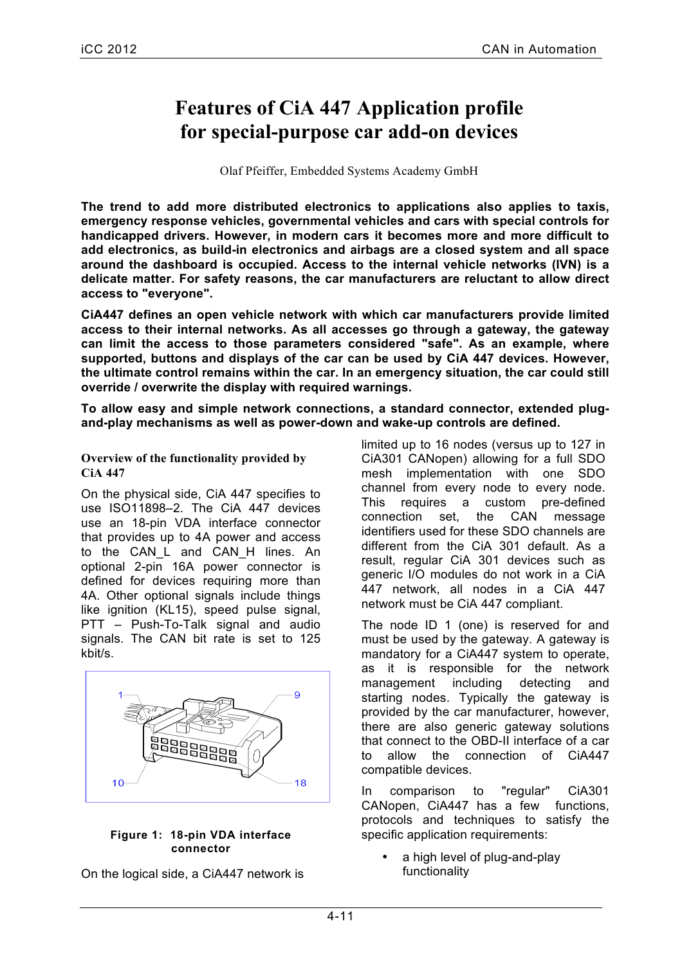# **Features of CiA 447 Application profile for special-purpose car add-on devices**

Olaf Pfeiffer, Embedded Systems Academy GmbH

**The trend to add more distributed electronics to applications also applies to taxis, emergency response vehicles, governmental vehicles and cars with special controls for handicapped drivers. However, in modern cars it becomes more and more difficult to add electronics, as build-in electronics and airbags are a closed system and all space around the dashboard is occupied. Access to the internal vehicle networks (IVN) is a delicate matter. For safety reasons, the car manufacturers are reluctant to allow direct access to "everyone".**

**CiA447 defines an open vehicle network with which car manufacturers provide limited access to their internal networks. As all accesses go through a gateway, the gateway can limit the access to those parameters considered "safe". As an example, where supported, buttons and displays of the car can be used by CiA 447 devices. However, the ultimate control remains within the car. In an emergency situation, the car could still override / overwrite the display with required warnings.** 

**To allow easy and simple network connections, a standard connector, extended plugand-play mechanisms as well as power-down and wake-up controls are defined.**

**Overview of the functionality provided by CiA 447**

On the physical side, CiA 447 specifies to use ISO11898–2. The CiA 447 devices use an 18-pin VDA interface connector that provides up to 4A power and access to the CAN L and CAN H lines. An optional 2-pin 16A power connector is defined for devices requiring more than 4A. Other optional signals include things like ignition (KL15), speed pulse signal, PTT – Push-To-Talk signal and audio signals. The CAN bit rate is set to 125 kbit/s.



#### **Figure 1: 18-pin VDA interface connector**

On the logical side, a CiA447 network is

limited up to 16 nodes (versus up to 127 in CiA301 CANopen) allowing for a full SDO mesh implementation with one SDO channel from every node to every node. This requires a custom pre-defined connection set, the CAN message identifiers used for these SDO channels are different from the CiA 301 default. As a result, regular CiA 301 devices such as generic I/O modules do not work in a CiA 447 network, all nodes in a CiA 447 network must be CiA 447 compliant.

The node ID 1 (one) is reserved for and must be used by the gateway. A gateway is mandatory for a CiA447 system to operate, as it is responsible for the network management including detecting and starting nodes. Typically the gateway is provided by the car manufacturer, however, there are also generic gateway solutions that connect to the OBD-II interface of a car to allow the connection of CiA447 compatible devices.

In comparison to "regular" CiA301 CANopen, CiA447 has a few functions, protocols and techniques to satisfy the specific application requirements:

a high level of plug-and-play functionality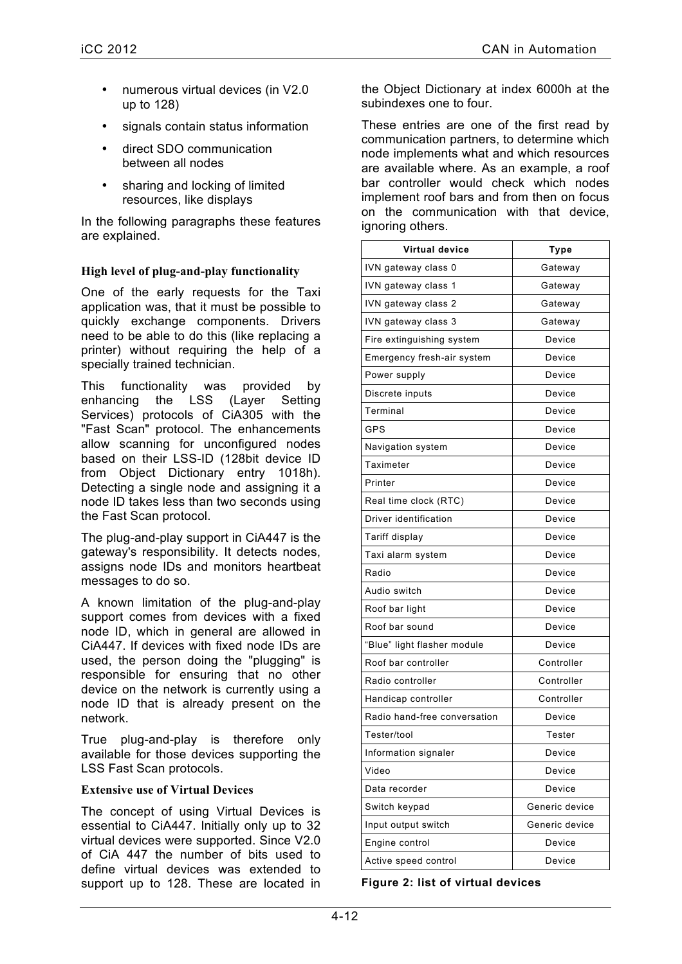- numerous virtual devices (in V2.0 up to 128)
- signals contain status information
- direct SDO communication between all nodes
- sharing and locking of limited resources, like displays

In the following paragraphs these features are explained.

# **High level of plug-and-play functionality**

One of the early requests for the Taxi application was, that it must be possible to quickly exchange components. Drivers need to be able to do this (like replacing a printer) without requiring the help of a specially trained technician.

This functionality was provided by enhancing the LSS (Layer Setting Services) protocols of CiA305 with the "Fast Scan" protocol. The enhancements allow scanning for unconfigured nodes based on their LSS-ID (128bit device ID from Object Dictionary entry 1018h). Detecting a single node and assigning it a node ID takes less than two seconds using the Fast Scan protocol.

The plug-and-play support in CiA447 is the gateway's responsibility. It detects nodes, assigns node IDs and monitors heartbeat messages to do so.

A known limitation of the plug-and-play support comes from devices with a fixed node ID, which in general are allowed in CiA447. If devices with fixed node IDs are used, the person doing the "plugging" is responsible for ensuring that no other device on the network is currently using a node ID that is already present on the network.

True plug-and-play is therefore only available for those devices supporting the LSS Fast Scan protocols.

## **Extensive use of Virtual Devices**

The concept of using Virtual Devices is essential to CiA447. Initially only up to 32 virtual devices were supported. Since V2.0 of CiA 447 the number of bits used to define virtual devices was extended to support up to 128. These are located in

the Object Dictionary at index 6000h at the subindexes one to four.

These entries are one of the first read by communication partners, to determine which node implements what and which resources are available where. As an example, a roof bar controller would check which nodes implement roof bars and from then on focus on the communication with that device, ignoring others.

| <b>Virtual device</b>        | Type           |
|------------------------------|----------------|
| IVN gateway class 0          | Gateway        |
| IVN gateway class 1          | Gateway        |
| IVN gateway class 2          | Gateway        |
| IVN gateway class 3          | Gateway        |
| Fire extinguishing system    | Device         |
| Emergency fresh-air system   | Device         |
| Power supply                 | Device         |
| Discrete inputs              | Device         |
| Terminal                     | Device         |
| <b>GPS</b>                   | Device         |
| Navigation system            | Device         |
| Taximeter                    | Device         |
| Printer                      | Device         |
| Real time clock (RTC)        | Device         |
| Driver identification        | Device         |
| Tariff display               | Device         |
| Taxi alarm system            | Device         |
| Radio                        | Device         |
| Audio switch                 | Device         |
| Roof bar light               | Device         |
| Roof bar sound               | Device         |
| "Blue" light flasher module  | Device         |
| Roof bar controller          | Controller     |
| Radio controller             | Controller     |
| Handicap controller          | Controller     |
| Radio hand-free conversation | Device         |
| Tester/tool                  | Tester         |
| Information signaler         | Device         |
| Video                        | Device         |
| Data recorder                | Device         |
| Switch keypad                | Generic device |
| Input output switch          | Generic device |
| Engine control               | Device         |
| Active speed control         | Device         |

**Figure 2: list of virtual devices**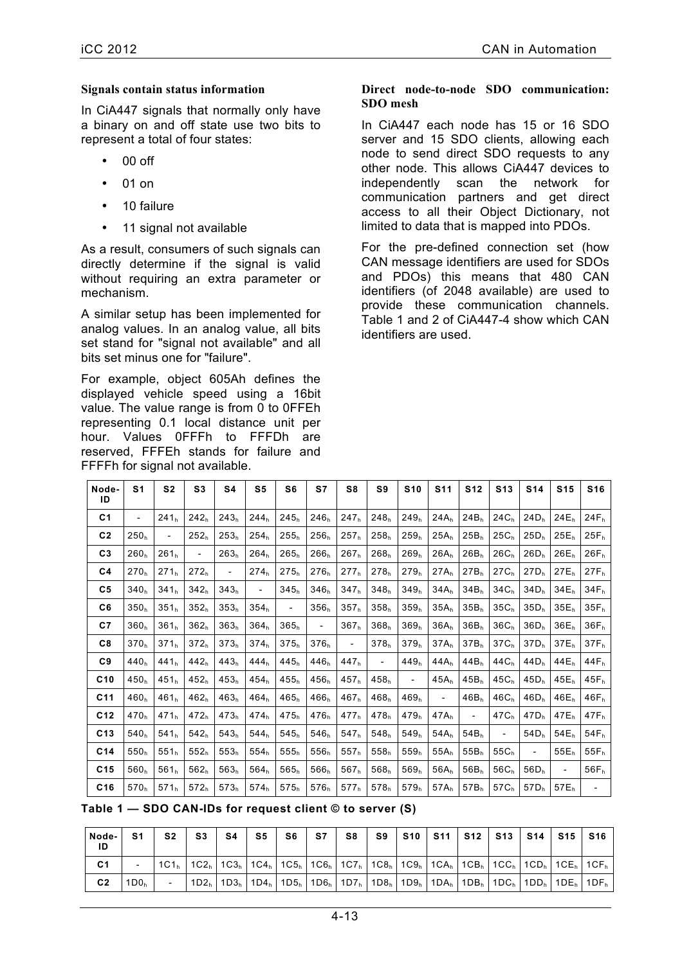#### **Signals contain status information**

In CiA447 signals that normally only have a binary on and off state use two bits to represent a total of four states:

- $00$  off
- 01 on
- 10 failure
- 11 signal not available

As a result, consumers of such signals can directly determine if the signal is valid without requiring an extra parameter or mechanism.

A similar setup has been implemented for analog values. In an analog value, all bits set stand for "signal not available" and all bits set minus one for "failure".

For example, object 605Ah defines the displayed vehicle speed using a 16bit value. The value range is from 0 to 0FFEh representing 0.1 local distance unit per hour. Values 0FFFh to FFFDh are reserved, FFFEh stands for failure and FFFFh for signal not available.

#### **Direct node-to-node SDO communication: SDO mesh**

In CiA447 each node has 15 or 16 SDO server and 15 SDO clients, allowing each node to send direct SDO requests to any other node. This allows CiA447 devices to independently scan the network for communication partners and get direct access to all their Object Dictionary, not limited to data that is mapped into PDOs.

For the pre-defined connection set (how CAN message identifiers are used for SDOs and PDOs) this means that 480 CAN identifiers (of 2048 available) are used to provide these communication channels. Table 1 and 2 of CiA447-4 show which CAN identifiers are used.

| Node-<br>ID     | S <sub>1</sub>           | S <sub>2</sub>           | S <sub>3</sub>           | S4                       | S5                       | S <sub>6</sub>           | S7                       | S8                       | S9                       | <b>S10</b>               | <b>S11</b>               | <b>S12</b>               | <b>S13</b>               | <b>S14</b>               | <b>S15</b>               | <b>S16</b>               |
|-----------------|--------------------------|--------------------------|--------------------------|--------------------------|--------------------------|--------------------------|--------------------------|--------------------------|--------------------------|--------------------------|--------------------------|--------------------------|--------------------------|--------------------------|--------------------------|--------------------------|
| C <sub>1</sub>  | $\overline{\phantom{a}}$ | 241 <sub>h</sub>         | 242 <sub>h</sub>         | 243 <sub>h</sub>         | 244 <sub>h</sub>         | 245 <sub>h</sub>         | 246 <sub>b</sub>         | 247 <sub>h</sub>         | 248 <sub>h</sub>         | 249 <sub>h</sub>         | 24A <sub>h</sub>         | 24B <sub>b</sub>         | 24C <sub>b</sub>         | 24D <sub>h</sub>         | 24E <sub>h</sub>         | 24F <sub>h</sub>         |
| C <sub>2</sub>  | 250 <sub>h</sub>         | $\overline{\phantom{0}}$ | 252 <sub>h</sub>         | 253 <sub>h</sub>         | 254 <sub>h</sub>         | 255 <sub>h</sub>         | 256 <sub>h</sub>         | 257 <sub>h</sub>         | 258 <sub>h</sub>         | 259 <sub>h</sub>         | 25A <sub>h</sub>         | 25B <sub>h</sub>         | 25C <sub>h</sub>         | 25D <sub>h</sub>         | $25E_h$                  | $25F_h$                  |
| C <sub>3</sub>  | 260 <sub>h</sub>         | 261 <sub>h</sub>         | $\overline{\phantom{a}}$ | 263 <sub>h</sub>         | 264 <sub>h</sub>         | 265 <sub>h</sub>         | 266 <sub>h</sub>         | 267 <sub>h</sub>         | 268 <sub>h</sub>         | 269 <sub>h</sub>         | 26A <sub>h</sub>         | 26B <sub>h</sub>         | 26C <sub>h</sub>         | 26D <sub>h</sub>         | $26E_h$                  | $26F_h$                  |
| C <sub>4</sub>  | 270 <sub>h</sub>         | 271 <sub>h</sub>         | 272 <sub>h</sub>         | $\overline{\phantom{a}}$ | 274 <sub>h</sub>         | 275 <sub>h</sub>         | 276 <sub>h</sub>         | 277 <sub>h</sub>         | 278 <sub>h</sub>         | 279 <sub>h</sub>         | $27A_h$                  | 27B <sub>h</sub>         | 27C <sub>h</sub>         | 27D <sub>h</sub>         | $27E_h$                  | $27F_h$                  |
| C <sub>5</sub>  | 340 <sub>h</sub>         | 341 <sub>h</sub>         | 342 <sub>h</sub>         | 343 <sub>h</sub>         | $\overline{\phantom{a}}$ | 345 <sub>h</sub>         | 346 <sub>h</sub>         | 347 <sub>h</sub>         | 348 <sub>h</sub>         | 349 <sub>h</sub>         | 34A <sub>h</sub>         | 34B <sub>h</sub>         | 34C <sub>h</sub>         | 34D <sub>b</sub>         | 34E <sub>b</sub>         | 34F <sub>h</sub>         |
| C <sub>6</sub>  | 350 <sub>h</sub>         | 351 <sub>h</sub>         | 352 <sub>h</sub>         | 353 <sub>h</sub>         | 354 <sub>h</sub>         | $\overline{\phantom{a}}$ | 356 <sub>h</sub>         | 357 <sub>h</sub>         | 358 <sub>h</sub>         | 359 <sub>h</sub>         | 35A <sub>h</sub>         | 35B <sub>h</sub>         | 35C <sub>h</sub>         | 35D <sub>h</sub>         | $35E_h$                  | 35F <sub>h</sub>         |
| C <sub>7</sub>  | 360 <sub>h</sub>         | 361 <sub>h</sub>         | 362 <sub>h</sub>         | 363 <sub>h</sub>         | 364 <sub>h</sub>         | 365 <sub>h</sub>         | $\overline{\phantom{0}}$ | 367 <sub>h</sub>         | 368 <sub>h</sub>         | 369 <sub>h</sub>         | 36A <sub>h</sub>         | 36B <sub>h</sub>         | 36C <sub>h</sub>         | 36D <sub>h</sub>         | $36E_h$                  | 36F <sub>h</sub>         |
| C8              | 370 <sub>h</sub>         | 371 <sub>h</sub>         | 372 <sub>h</sub>         | 373 <sub>h</sub>         | 374 <sub>h</sub>         | 375 <sub>h</sub>         | 376 <sub>h</sub>         | $\overline{\phantom{a}}$ | 378 <sub>h</sub>         | 379 <sub>h</sub>         | 37A <sub>h</sub>         | 37B <sub>h</sub>         | 37C <sub>h</sub>         | 37D <sub>h</sub>         | 37E <sub>h</sub>         | 37F <sub>h</sub>         |
| C9              | 440 <sub>h</sub>         | 441 <sub>h</sub>         | 442 <sub>h</sub>         | 443 <sub>h</sub>         | 444 <sub>h</sub>         | 445 <sub>h</sub>         | 446 <sub>h</sub>         | 447 <sub>h</sub>         | $\overline{\phantom{a}}$ | 449 <sub>h</sub>         | 44 A <sub>h</sub>        | 44B <sub>b</sub>         | 44C <sub>h</sub>         | 44D <sub>h</sub>         | 44E <sub>h</sub>         | $44F_h$                  |
| C10             | 450 <sub>h</sub>         | 451 <sub>h</sub>         | 452 <sub>h</sub>         | 453 <sub>h</sub>         | 454 <sub>h</sub>         | 455 <sub>h</sub>         | 456 <sub>h</sub>         | 457 <sub>h</sub>         | 458 <sub>h</sub>         | $\overline{\phantom{a}}$ | 45A <sub>h</sub>         | $45B_h$                  | 45C <sub>h</sub>         | 45D <sub>h</sub>         | $45E_h$                  | $45F_h$                  |
| C <sub>11</sub> | 460 <sub>h</sub>         | 461 <sub>h</sub>         | 462 <sub>h</sub>         | 463 <sub>h</sub>         | 464 <sub>h</sub>         | 465 <sub>h</sub>         | 466 <sub>h</sub>         | 467 <sub>h</sub>         | 468 <sub>h</sub>         | 469 <sub>h</sub>         | $\overline{\phantom{a}}$ | 46B <sub>h</sub>         | 46C <sub>h</sub>         | 46D <sub>h</sub>         | $46E_h$                  | $46F_h$                  |
| C <sub>12</sub> | 470 <sub>h</sub>         | 471 <sub>h</sub>         | 472 <sub>h</sub>         | 473 <sub>h</sub>         | 474 <sub>h</sub>         | 475 <sub>h</sub>         | 476 <sub>h</sub>         | 477 <sub>h</sub>         | 478 <sub>h</sub>         | 479 <sub>h</sub>         | $47A_h$                  | $\overline{\phantom{a}}$ | 47C <sub>h</sub>         | 47D <sub>h</sub>         | 47E <sub>h</sub>         | $47F_h$                  |
| C <sub>13</sub> | 540 <sub>h</sub>         | 541 <sub>h</sub>         | 542 <sub>h</sub>         | 543 <sub>h</sub>         | 544 <sub>h</sub>         | 545 <sub>h</sub>         | 546 <sub>h</sub>         | 547 <sub>h</sub>         | 548 <sub>h</sub>         | 549 <sub>h</sub>         | 54A <sub>h</sub>         | 54B <sub>h</sub>         | $\overline{\phantom{0}}$ | 54D <sub>h</sub>         | $54E_h$                  | $54F_h$                  |
| C <sub>14</sub> | 550 <sub>h</sub>         | 551 <sub>h</sub>         | 552 <sub>h</sub>         | 553 <sub>h</sub>         | 554 <sub>h</sub>         | 555 <sub>h</sub>         | 556 <sub>h</sub>         | 557 <sub>h</sub>         | 558 <sub>h</sub>         | 559 <sub>h</sub>         | 55A <sub>h</sub>         | $55B_h$                  | 55C <sub>h</sub>         | $\overline{\phantom{0}}$ | $55E_h$                  | $55F_h$                  |
| C <sub>15</sub> | 560 <sub>h</sub>         | 561 <sub>h</sub>         | 562 <sub>h</sub>         | 563 <sub>h</sub>         | 564 <sub>h</sub>         | 565 <sub>h</sub>         | 566 <sub>h</sub>         | 567 <sub>h</sub>         | 568 <sub>h</sub>         | 569 <sub>h</sub>         | 56A <sub>h</sub>         | $56B_h$                  | 56C <sub>h</sub>         | 56D <sub>h</sub>         | $\overline{\phantom{a}}$ | $56F_h$                  |
| C16             | 570 <sub>h</sub>         | 571 <sub>h</sub>         | 572 <sub>h</sub>         | 573 <sub>h</sub>         | 574 <sub>h</sub>         | 575 <sub>h</sub>         | 576 <sub>h</sub>         | 577 <sub>h</sub>         | 578 <sub>h</sub>         | 579 <sub>h</sub>         | 57A <sub>h</sub>         | $57B_h$                  | 57C <sub>h</sub>         | 57D <sub>h</sub>         | $57E_h$                  | $\overline{\phantom{a}}$ |

**Table 1 — SDO CAN-IDs for request client © to server (S)**

| Node-<br>ID    | S <sub>1</sub>   | S <sub>2</sub> | S <sub>3</sub> | S4 |  |  |  |  | S5   S6   S7   S8   S9   S10   S11   S12   S13   S14   S15   S16 |  |                                                                                                                                                                                                                                                                           |
|----------------|------------------|----------------|----------------|----|--|--|--|--|------------------------------------------------------------------|--|---------------------------------------------------------------------------------------------------------------------------------------------------------------------------------------------------------------------------------------------------------------------------|
| C <sub>1</sub> |                  |                |                |    |  |  |  |  |                                                                  |  | $1C1h$   $1C2h$   $1C3h$   $1C4h$   $1C5h$   $1C6h$   $1C7h$   $1C8h$   $1C9h$   $1C1h$   $1C1h$   $1C1h$   $1C1h$   $1C1h$   $1C1h$                                                                                                                                      |
| C <sub>2</sub> | 1D0 <sub>n</sub> |                |                |    |  |  |  |  |                                                                  |  | լ 1D2 <sub>h</sub>   1D3 <sub>h</sub>   1D4 <sub>h</sub>   1D5 <sub>h</sub>   1D6 <sub>h</sub>   1D7 <sub>h</sub>   1D8 <sub>h</sub>   1D9 <sub>h</sub>   1DA <sub>h</sub>   1DB <sub>h</sub>   1DC <sub>h</sub>   1DD <sub>h</sub>   1DE <sub>h</sub>   1DF <sub>h</sub> |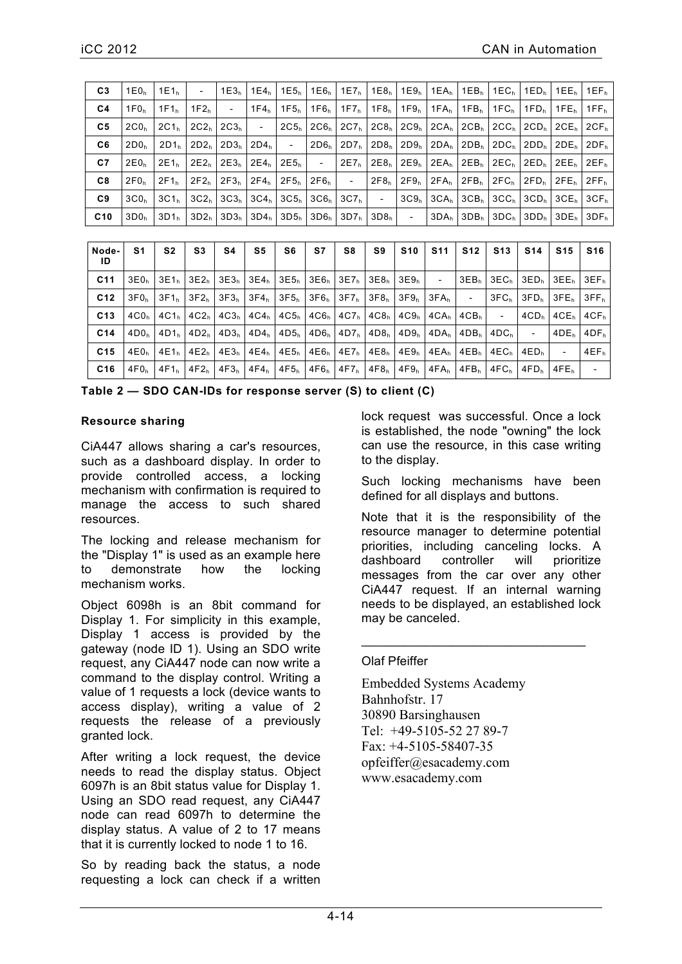| C <sub>3</sub> | 1E0 <sub>b</sub>           | $11E1_h$          | $\sim 100$       |            |  |                                                                    |                  |                  |  |                                                                                                                                                                                                                               |                                                                                                                                                                                                                                                   | 1E3 <sub>h</sub>   1E4 <sub>h</sub>   1E5 <sub>h</sub>   1E6 <sub>h</sub>   1E7 <sub>h</sub>   1E8 <sub>h</sub>   1E9 <sub>h</sub>   1EA <sub>h</sub>   1EB <sub>h</sub>   1EC <sub>h</sub>   1ED <sub>h</sub>   1EE <sub>h</sub>   1EF <sub>h</sub> |
|----------------|----------------------------|-------------------|------------------|------------|--|--------------------------------------------------------------------|------------------|------------------|--|-------------------------------------------------------------------------------------------------------------------------------------------------------------------------------------------------------------------------------|---------------------------------------------------------------------------------------------------------------------------------------------------------------------------------------------------------------------------------------------------|------------------------------------------------------------------------------------------------------------------------------------------------------------------------------------------------------------------------------------------------------|
| C <sub>4</sub> | $1 \text{F0}$ <sub>b</sub> | 11F1 <sub>h</sub> | $1F2_h$          | $\sim 100$ |  |                                                                    |                  |                  |  |                                                                                                                                                                                                                               |                                                                                                                                                                                                                                                   | 1F4,   1F5,   1F6,   1F7,   1F8,   1F9,   1FA,   1FB,   1FC,   1FD,   1FE,   1FF,                                                                                                                                                                    |
| C5             | 2CO <sub>b</sub>           | 2C1 <sub>b</sub>  |                  |            |  |                                                                    |                  |                  |  | $2C2h$   2C3 <sub>h</sub>   $-$   2C5 <sub>h</sub>   2C6 <sub>h</sub>   2C7 <sub>h</sub>   2C8 <sub>h</sub>   2C9 <sub>h</sub>   2CA <sub>h</sub>   2CB <sub>h</sub>   2CC <sub>h</sub>   2CD <sub>h</sub>   2CE <sub>h</sub> |                                                                                                                                                                                                                                                   | 2CF <sub>h</sub>                                                                                                                                                                                                                                     |
| C6             | 2D0 <sub>b</sub>           | 2D1 <sub>h</sub>  |                  |            |  |                                                                    |                  |                  |  |                                                                                                                                                                                                                               |                                                                                                                                                                                                                                                   | $2D2h$   2D3 <sub>h</sub>   2D4 <sub>h</sub>   $-$   2D6 <sub>h</sub>   2D7 <sub>h</sub>   2D8 <sub>h</sub>   2D9 <sub>h</sub>   2D8 <sub>h</sub>   2D6 <sub>h</sub>   2D0 <sub>h</sub>   2DE <sub>h</sub>   2DF <sub>h</sub>                        |
| C7             | 2E0 <sub>b</sub>           | 2E1 <sub>h</sub>  |                  |            |  |                                                                    |                  |                  |  |                                                                                                                                                                                                                               | $2E2_h$   2E3 <sub>h</sub>   2E4 <sub>h</sub>   2E5 <sub>h</sub>   $-$   2E7 <sub>h</sub>   2E8 <sub>h</sub>   2E9 <sub>h</sub>   2EA <sub>h</sub>   2EB <sub>h</sub>   2EC <sub>h</sub>   2EE <sub>h</sub>   2EE <sub>h</sub>   2EF <sub>h</sub> |                                                                                                                                                                                                                                                      |
| C8             | 2F0 <sub>b</sub>           | $2F1_h$           | 2F2 <sub>h</sub> |            |  | $ 2F3_h 2F4_h 2F5_h 2F6_h  -  2F8_h $                              | 2F9 <sub>h</sub> | 2FA <sub>h</sub> |  | $ 2FB_h 2FC_h 2FD_h 2FE_h $                                                                                                                                                                                                   |                                                                                                                                                                                                                                                   | 2FF <sub>h</sub>                                                                                                                                                                                                                                     |
| C9             | 3CO <sub>b</sub>           | 3C1 <sub>h</sub>  |                  |            |  | $3C2h$   $3C3h$   $3C4h$   $3C5h$   $3C6h$   $3C7h$   $-$   $3C9h$ |                  |                  |  |                                                                                                                                                                                                                               |                                                                                                                                                                                                                                                   | $3CAh$   $3CBh$   $3CCh$   $3CDh$   $3CEh$   $3CFh$                                                                                                                                                                                                  |
| C10            | 3D0 <sub>h</sub>           |                   |                  |            |  |                                                                    |                  |                  |  |                                                                                                                                                                                                                               |                                                                                                                                                                                                                                                   |                                                                                                                                                                                                                                                      |

| Node-<br>ID     | S1               | S <sub>2</sub>   | S3               | S4               | S5               | S6                                                        | S7                      | S8                                                         | S9               | <b>S10</b>       | <b>S11</b>               | <b>S12</b>               | <b>S13</b>               | <b>S14</b>                            | <b>S15</b>       | <b>S16</b>               |
|-----------------|------------------|------------------|------------------|------------------|------------------|-----------------------------------------------------------|-------------------------|------------------------------------------------------------|------------------|------------------|--------------------------|--------------------------|--------------------------|---------------------------------------|------------------|--------------------------|
| C <sub>11</sub> | 3E0 <sub>n</sub> | 3E1 <sub>h</sub> | 3E2 <sub>h</sub> | 3E3 <sub>h</sub> |                  | $3E4_h$   $3E5_h$   $3E6_h$   $3E7_h$   $3E8_h$   $3E9_h$ |                         |                                                            |                  |                  | $\overline{\phantom{a}}$ |                          |                          | $3EB_h$   $3EC_h$   $3ED_h$   $3EE_h$ |                  | 3EF <sub>n</sub>         |
| C <sub>12</sub> | 3F0 <sub>n</sub> | $3F1_h$          | 3F2 <sub>b</sub> | 3F3 <sub>h</sub> | 3F4 <sub>h</sub> |                                                           |                         | $3F5_h$ 3F6 <sub>h</sub> 3F7 <sub>h</sub> 3F8 <sub>h</sub> |                  | 3F9 <sub>h</sub> | $3FA_h$                  | $\overline{\phantom{a}}$ | 3FC <sub>h</sub>         | 3FD.                                  | 3FE <sub>h</sub> | 3FF <sub>h</sub>         |
| C <sub>13</sub> | 4CO <sub>b</sub> | 4C1 <sub>n</sub> | 4C2 <sub>h</sub> | 4C3 <sub>h</sub> |                  | $4C4h$   $4C5h$   $4C6h$   $4C7h$   $4C8h$                |                         |                                                            |                  | 4C9 <sub>h</sub> | 4CA <sub>h</sub>         | 4CB <sub>h</sub>         | $\overline{\phantom{0}}$ | 4CD <sub>h</sub>                      | 4CE <sub>h</sub> | 4CF <sub>h</sub>         |
| C <sub>14</sub> | 4D0 <sub>b</sub> | 4D1 <sub>h</sub> | 4D2 <sub>b</sub> | 4D3 <sub>h</sub> |                  | $4D4_h$   $4D5_h$   $4D6_h$   $4D7_h$   $4D8_h$           |                         |                                                            |                  | 4D9 <sub>h</sub> | 4DA <sub>h</sub>         |                          | $4DBh$   $4DCh$          | $\overline{\phantom{a}}$              | 4DE <sub>b</sub> | 4DF <sub>h</sub>         |
| C <sub>15</sub> | 4E0 <sub>h</sub> | 4E1 <sub>n</sub> | 4E2 <sub>h</sub> | 4E3 <sub>h</sub> | 4E4 <sub>n</sub> |                                                           |                         | $4E5_h$   $4E6_h$   $4E7_h$   $4E8_h$                      |                  | 4E9 <sub>h</sub> | 4EA <sub>h</sub>         | 4EB <sub>h</sub>         |                          | $4ECh$   $4EDh$                       |                  | 4EF <sub>h</sub>         |
| C16             | 4F0 <sub>n</sub> | 4F1 <sub>b</sub> | 4F2 <sub>h</sub> | $4F3_h$          | $4F4_h$          |                                                           | $4F5_h$ $4F6_h$ $4F7_h$ |                                                            | 4F8 <sub>h</sub> | 4F9 <sub>h</sub> | 4FA <sub>h</sub>         | 4FB <sub>b</sub>         | 4FC <sub>h</sub>         | 4FD <sub>b</sub>                      | 4FE <sub>h</sub> | $\overline{\phantom{0}}$ |

Table 2 - SDO CAN-IDs for response server (S) to client (C)

#### **Resource sharing**

CiA447 allows sharing a car's resources, such as a dashboard display. In order to provide controlled access, a locking mechanism with confirmation is required to manage the access to such shared resources.

The locking and release mechanism for the "Display 1" is used as an example here demonstrate how  $t_0$ the locking mechanism works.

Object 6098h is an 8bit command for Display 1. For simplicity in this example, Display 1 access is provided by the gateway (node ID 1). Using an SDO write request, any CiA447 node can now write a command to the display control. Writing a value of 1 requests a lock (device wants to access display), writing a value of 2 requests the release of a previously granted lock.

After writing a lock request, the device needs to read the display status. Object 6097h is an 8bit status value for Display 1. Using an SDO read request, any CiA447 node can read 6097h to determine the display status. A value of 2 to 17 means that it is currently locked to node 1 to 16.

So by reading back the status, a node requesting a lock can check if a written lock request was successful. Once a lock is established, the node "owning" the lock can use the resource, in this case writing to the display.

Such locking mechanisms have been defined for all displays and buttons.

Note that it is the responsibility of the resource manager to determine potential priorities, including canceling locks. A controller will dashboard prioritize messages from the car over any other CiA447 request. If an internal warning needs to be displayed, an established lock may be canceled.

#### Olaf Pfeiffer

**Embedded Systems Academy** Bahnhofstr. 17 30890 Barsinghausen Tel: +49-5105-52 27 89-7 Fax:  $+4-5105-58407-35$ opfeiffer@esacademy.com www.esacademy.com